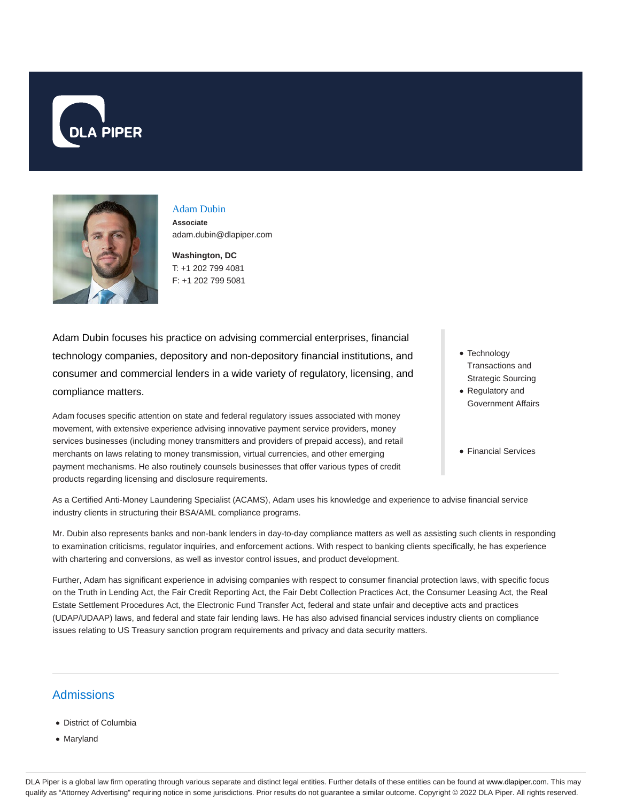



## Adam Dubin **Associate**

adam.dubin@dlapiper.com

**Washington, DC** T: +1 202 799 4081 F: +1 202 799 5081

Adam Dubin focuses his practice on advising commercial enterprises, financial technology companies, depository and non-depository financial institutions, and consumer and commercial lenders in a wide variety of regulatory, licensing, and compliance matters.

Adam focuses specific attention on state and federal regulatory issues associated with money movement, with extensive experience advising innovative payment service providers, money services businesses (including money transmitters and providers of prepaid access), and retail merchants on laws relating to money transmission, virtual currencies, and other emerging payment mechanisms. He also routinely counsels businesses that offer various types of credit products regarding licensing and disclosure requirements.

- Technology Transactions and Strategic Sourcing
- Regulatory and Government Affairs
- Financial Services

As a Certified Anti-Money Laundering Specialist (ACAMS), Adam uses his knowledge and experience to advise financial service industry clients in structuring their BSA/AML compliance programs.

Mr. Dubin also represents banks and non-bank lenders in day-to-day compliance matters as well as assisting such clients in responding to examination criticisms, regulator inquiries, and enforcement actions. With respect to banking clients specifically, he has experience with chartering and conversions, as well as investor control issues, and product development.

Further, Adam has significant experience in advising companies with respect to consumer financial protection laws, with specific focus on the Truth in Lending Act, the Fair Credit Reporting Act, the Fair Debt Collection Practices Act, the Consumer Leasing Act, the Real Estate Settlement Procedures Act, the Electronic Fund Transfer Act, federal and state unfair and deceptive acts and practices (UDAP/UDAAP) laws, and federal and state fair lending laws. He has also advised financial services industry clients on compliance issues relating to US Treasury sanction program requirements and privacy and data security matters.

# **Admissions**

- District of Columbia
- Maryland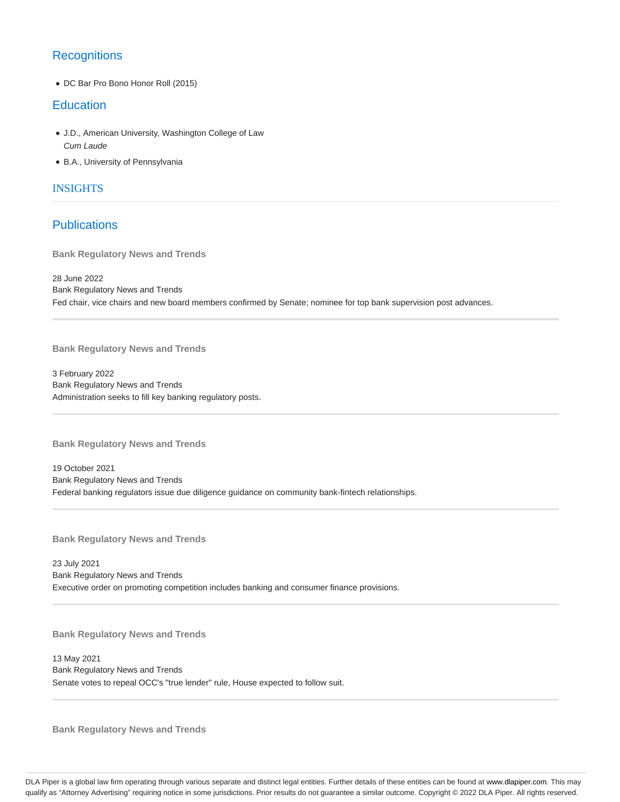## **Recognitions**

DC Bar Pro Bono Honor Roll (2015)

## **Education**

- J.D., American University, Washington College of Law Cum Laude
- B.A., University of Pennsylvania

### INSIGHTS

## Publications

**Bank Regulatory News and Trends**

28 June 2022 Bank Regulatory News and Trends Fed chair, vice chairs and new board members confirmed by Senate; nominee for top bank supervision post advances.

**Bank Regulatory News and Trends**

3 February 2022 Bank Regulatory News and Trends Administration seeks to fill key banking regulatory posts.

**Bank Regulatory News and Trends**

19 October 2021 Bank Regulatory News and Trends Federal banking regulators issue due diligence guidance on community bank-fintech relationships.

**Bank Regulatory News and Trends**

23 July 2021 Bank Regulatory News and Trends Executive order on promoting competition includes banking and consumer finance provisions.

**Bank Regulatory News and Trends**

13 May 2021 Bank Regulatory News and Trends Senate votes to repeal OCC's "true lender" rule, House expected to follow suit.

**Bank Regulatory News and Trends**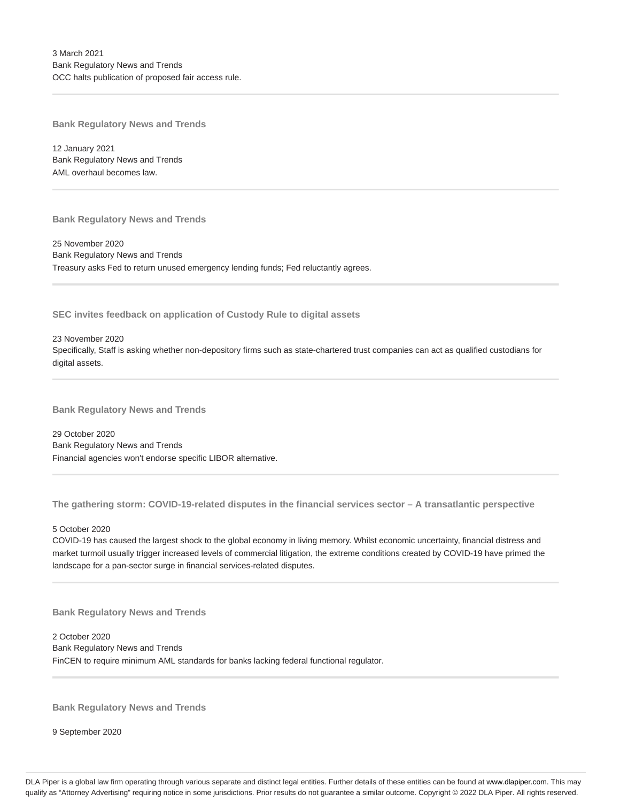**Bank Regulatory News and Trends**

12 January 2021 Bank Regulatory News and Trends AML overhaul becomes law.

**Bank Regulatory News and Trends**

25 November 2020 Bank Regulatory News and Trends Treasury asks Fed to return unused emergency lending funds; Fed reluctantly agrees.

**SEC invites feedback on application of Custody Rule to digital assets**

23 November 2020 Specifically, Staff is asking whether non-depository firms such as state-chartered trust companies can act as qualified custodians for digital assets.

**Bank Regulatory News and Trends**

29 October 2020 Bank Regulatory News and Trends Financial agencies won't endorse specific LIBOR alternative.

**The gathering storm: COVID-19-related disputes in the financial services sector – A transatlantic perspective**

#### 5 October 2020

COVID-19 has caused the largest shock to the global economy in living memory. Whilst economic uncertainty, financial distress and market turmoil usually trigger increased levels of commercial litigation, the extreme conditions created by COVID-19 have primed the landscape for a pan-sector surge in financial services-related disputes.

**Bank Regulatory News and Trends**

2 October 2020 Bank Regulatory News and Trends FinCEN to require minimum AML standards for banks lacking federal functional regulator.

**Bank Regulatory News and Trends**

9 September 2020

DLA Piper is a global law firm operating through various separate and distinct legal entities. Further details of these entities can be found at www.dlapiper.com. This may qualify as "Attorney Advertising" requiring notice in some jurisdictions. Prior results do not guarantee a similar outcome. Copyright @ 2022 DLA Piper. All rights reserved.